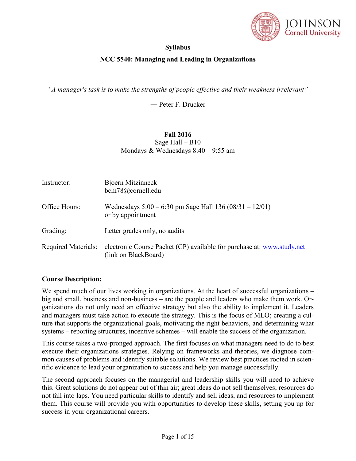

# **Syllabus**

# **NCC 5540: Managing and Leading in Organizations**

*"A manager's task is to make the strengths of people effective and their weakness irrelevant"*

― Peter F. Drucker

# **Fall 2016** Sage Hall – B10 Mondays & Wednesdays 8:40 – 9:55 am

| Instructor:                | Bjoern Mitzinneck<br>bcm78@cornell.edu                                                         |
|----------------------------|------------------------------------------------------------------------------------------------|
| Office Hours:              | Wednesdays $5:00 - 6:30$ pm Sage Hall 136 (08/31 - 12/01)<br>or by appointment                 |
| Grading:                   | Letter grades only, no audits                                                                  |
| <b>Required Materials:</b> | electronic Course Packet (CP) available for purchase at: www.study.net<br>(link on BlackBoard) |

## **Course Description:**

We spend much of our lives working in organizations. At the heart of successful organizations – big and small, business and non-business – are the people and leaders who make them work. Organizations do not only need an effective strategy but also the ability to implement it. Leaders and managers must take action to execute the strategy. This is the focus of MLO; creating a culture that supports the organizational goals, motivating the right behaviors, and determining what systems – reporting structures, incentive schemes – will enable the success of the organization.

This course takes a two-pronged approach. The first focuses on what managers need to do to best execute their organizations strategies. Relying on frameworks and theories, we diagnose common causes of problems and identify suitable solutions. We review best practices rooted in scientific evidence to lead your organization to success and help you manage successfully.

The second approach focuses on the managerial and leadership skills you will need to achieve this. Great solutions do not appear out of thin air; great ideas do not sell themselves; resources do not fall into laps. You need particular skills to identify and sell ideas, and resources to implement them. This course will provide you with opportunities to develop these skills, setting you up for success in your organizational careers.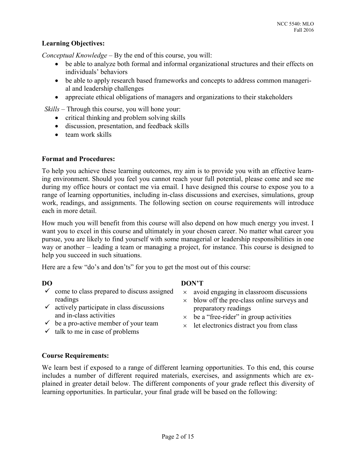# **Learning Objectives:**

*Conceptual Knowledge* – By the end of this course, you will:

- be able to analyze both formal and informal organizational structures and their effects on individuals' behaviors
- be able to apply research based frameworks and concepts to address common managerial and leadership challenges
- appreciate ethical obligations of managers and organizations to their stakeholders

*Skills* – Through this course, you will hone your:

- critical thinking and problem solving skills
- discussion, presentation, and feedback skills
- $\bullet$  team work skills

## **Format and Procedures:**

To help you achieve these learning outcomes, my aim is to provide you with an effective learning environment. Should you feel you cannot reach your full potential, please come and see me during my office hours or contact me via email. I have designed this course to expose you to a range of learning opportunities, including in-class discussions and exercises, simulations, group work, readings, and assignments. The following section on course requirements will introduce each in more detail.

How much you will benefit from this course will also depend on how much energy you invest. I want you to excel in this course and ultimately in your chosen career. No matter what career you pursue, you are likely to find yourself with some managerial or leadership responsibilities in one way or another – leading a team or managing a project, for instance. This course is designed to help you succeed in such situations.

Here are a few "do's and don'ts" for you to get the most out of this course:

- $\checkmark$  come to class prepared to discuss assigned readings
- $\checkmark$  actively participate in class discussions and in-class activities
- $\checkmark$  be a pro-active member of your team
- $\checkmark$  talk to me in case of problems
- **DO DON'T** 
	- $\times$  avoid engaging in classroom discussions
	- $\times$  blow off the pre-class online surveys and preparatory readings
	- $\times$  be a "free-rider" in group activities
	- $\times$  let electronics distract you from class

## **Course Requirements:**

We learn best if exposed to a range of different learning opportunities. To this end, this course includes a number of different required materials, exercises, and assignments which are explained in greater detail below. The different components of your grade reflect this diversity of learning opportunities. In particular, your final grade will be based on the following: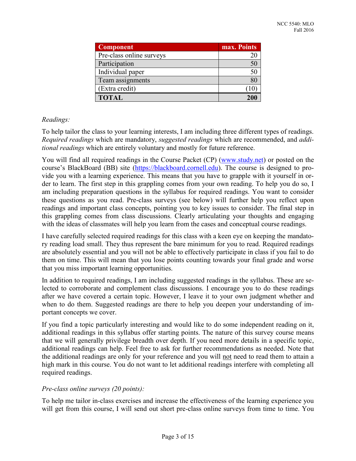| <b>Component</b>         | max. Points |
|--------------------------|-------------|
| Pre-class online surveys |             |
| Participation            |             |
| Individual paper         |             |
| Team assignments         |             |
| (Extra credit)           |             |
| <b>TOTAL</b>             | 200         |

## *Readings:*

To help tailor the class to your learning interests, I am including three different types of readings. *Required readings* which are mandatory, *suggested readings* which are recommended, and *additional readings* which are entirely voluntary and mostly for future reference.

You will find all required readings in the Course Packet (CP) [\(www.study.net\)](http://www.study.net/) or posted on the course's BlackBoard (BB) site [\(https://blackboard.cornell.edu\)](https://blackboard.cornell.edu/). The course is designed to provide you with a learning experience. This means that you have to grapple with it yourself in order to learn. The first step in this grappling comes from your own reading. To help you do so, I am including preparation questions in the syllabus for required readings. You want to consider these questions as you read. Pre-class surveys (see below) will further help you reflect upon readings and important class concepts, pointing you to key issues to consider. The final step in this grappling comes from class discussions. Clearly articulating your thoughts and engaging with the ideas of classmates will help you learn from the cases and conceptual course readings.

I have carefully selected required readings for this class with a keen eye on keeping the mandatory reading load small. They thus represent the bare minimum for you to read. Required readings are absolutely essential and you will not be able to effectively participate in class if you fail to do them on time. This will mean that you lose points counting towards your final grade and worse that you miss important learning opportunities.

In addition to required readings, I am including suggested readings in the syllabus. These are selected to corroborate and complement class discussions. I encourage you to do these readings after we have covered a certain topic. However, I leave it to your own judgment whether and when to do them. Suggested readings are there to help you deepen your understanding of important concepts we cover.

If you find a topic particularly interesting and would like to do some independent reading on it, additional readings in this syllabus offer starting points. The nature of this survey course means that we will generally privilege breadth over depth. If you need more details in a specific topic, additional readings can help. Feel free to ask for further recommendations as needed. Note that the additional readings are only for your reference and you will not need to read them to attain a high mark in this course. You do not want to let additional readings interfere with completing all required readings.

## *Pre-class online surveys (20 points):*

To help me tailor in-class exercises and increase the effectiveness of the learning experience you will get from this course, I will send out short pre-class online surveys from time to time. You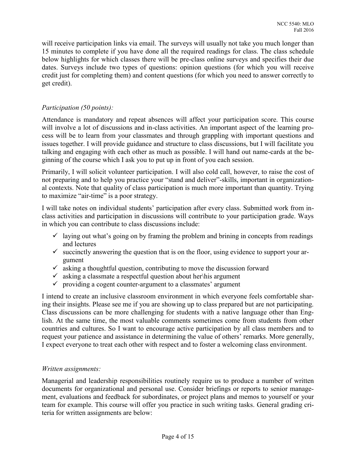will receive participation links via email. The surveys will usually not take you much longer than 15 minutes to complete if you have done all the required readings for class. The class schedule below highlights for which classes there will be pre-class online surveys and specifies their due dates. Surveys include two types of questions: opinion questions (for which you will receive credit just for completing them) and content questions (for which you need to answer correctly to get credit).

# *Participation (50 points):*

Attendance is mandatory and repeat absences will affect your participation score. This course will involve a lot of discussions and in-class activities. An important aspect of the learning process will be to learn from your classmates and through grappling with important questions and issues together. I will provide guidance and structure to class discussions, but I will facilitate you talking and engaging with each other as much as possible. I will hand out name-cards at the beginning of the course which I ask you to put up in front of you each session.

Primarily, I will solicit volunteer participation. I will also cold call, however, to raise the cost of not preparing and to help you practice your "stand and deliver"-skills, important in organizational contexts. Note that quality of class participation is much more important than quantity. Trying to maximize "air-time" is a poor strategy.

I will take notes on individual students' participation after every class. Submitted work from inclass activities and participation in discussions will contribute to your participation grade. Ways in which you can contribute to class discussions include:

- $\checkmark$  laying out what's going on by framing the problem and brining in concepts from readings and lectures
- $\checkmark$  succinctly answering the question that is on the floor, using evidence to support your argument
- $\checkmark$  asking a thoughtful question, contributing to move the discussion forward
- $\checkmark$  asking a classmate a respectful question about her $\checkmark$ his argument
- $\checkmark$  providing a cogent counter-argument to a classmates' argument

I intend to create an inclusive classroom environment in which everyone feels comfortable sharing their insights. Please see me if you are showing up to class prepared but are not participating. Class discussions can be more challenging for students with a native language other than English. At the same time, the most valuable comments sometimes come from students from other countries and cultures. So I want to encourage active participation by all class members and to request your patience and assistance in determining the value of others' remarks. More generally, I expect everyone to treat each other with respect and to foster a welcoming class environment.

# *Written assignments:*

Managerial and leadership responsibilities routinely require us to produce a number of written documents for organizational and personal use. Consider briefings or reports to senior management, evaluations and feedback for subordinates, or project plans and memos to yourself or your team for example. This course will offer you practice in such writing tasks. General grading criteria for written assignments are below: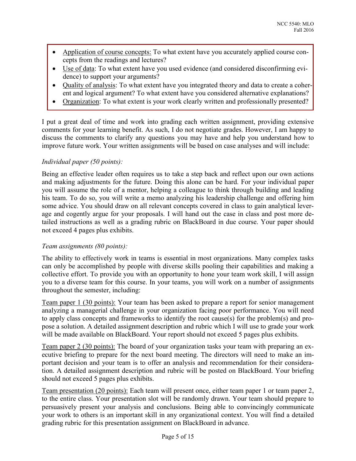- Application of course concepts: To what extent have you accurately applied course concepts from the readings and lectures?
- Use of data: To what extent have you used evidence (and considered disconfirming evidence) to support your arguments?
- Ouality of analysis: To what extent have you integrated theory and data to create a coherent and logical argument? To what extent have you considered alternative explanations?
- Organization: To what extent is your work clearly written and professionally presented?

I put a great deal of time and work into grading each written assignment, providing extensive comments for your learning benefit. As such, I do not negotiate grades. However, I am happy to discuss the comments to clarify any questions you may have and help you understand how to improve future work. Your written assignments will be based on case analyses and will include:

# *Individual paper (50 points):*

Being an effective leader often requires us to take a step back and reflect upon our own actions and making adjustments for the future. Doing this alone can be hard. For your individual paper you will assume the role of a mentor, helping a colleague to think through building and leading his team. To do so, you will write a memo analyzing his leadership challenge and offering him some advice. You should draw on all relevant concepts covered in class to gain analytical leverage and cogently argue for your proposals. I will hand out the case in class and post more detailed instructions as well as a grading rubric on BlackBoard in due course. Your paper should not exceed 4 pages plus exhibits.

## *Team assignments (80 points):*

The ability to effectively work in teams is essential in most organizations. Many complex tasks can only be accomplished by people with diverse skills pooling their capabilities and making a collective effort. To provide you with an opportunity to hone your team work skill, I will assign you to a diverse team for this course. In your teams, you will work on a number of assignments throughout the semester, including:

Team paper 1 (30 points): Your team has been asked to prepare a report for senior management analyzing a managerial challenge in your organization facing poor performance. You will need to apply class concepts and frameworks to identify the root cause(s) for the problem(s) and propose a solution. A detailed assignment description and rubric which I will use to grade your work will be made available on BlackBoard. Your report should not exceed 5 pages plus exhibits.

Team paper 2 (30 points): The board of your organization tasks your team with preparing an executive briefing to prepare for the next board meeting. The directors will need to make an important decision and your team is to offer an analysis and recommendation for their consideration. A detailed assignment description and rubric will be posted on BlackBoard. Your briefing should not exceed 5 pages plus exhibits.

Team presentation (20 points): Each team will present once, either team paper 1 or team paper 2, to the entire class. Your presentation slot will be randomly drawn. Your team should prepare to persuasively present your analysis and conclusions. Being able to convincingly communicate your work to others is an important skill in any organizational context. You will find a detailed grading rubric for this presentation assignment on BlackBoard in advance.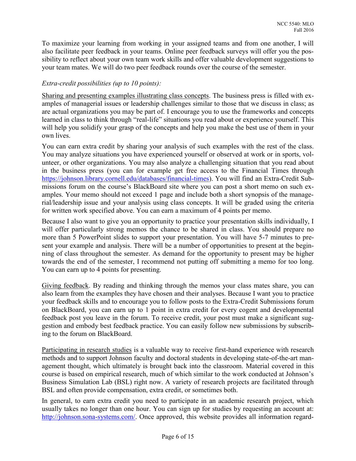To maximize your learning from working in your assigned teams and from one another, I will also facilitate peer feedback in your teams. Online peer feedback surveys will offer you the possibility to reflect about your own team work skills and offer valuable development suggestions to your team mates. We will do two peer feedback rounds over the course of the semester.

## *Extra-credit possibilities (up to 10 points):*

Sharing and presenting examples illustrating class concepts. The business press is filled with examples of managerial issues or leadership challenges similar to those that we discuss in class; as are actual organizations you may be part of. I encourage you to use the frameworks and concepts learned in class to think through "real-life" situations you read about or experience yourself. This will help you solidify your grasp of the concepts and help you make the best use of them in your own lives.

You can earn extra credit by sharing your analysis of such examples with the rest of the class. You may analyze situations you have experienced yourself or observed at work or in sports, volunteer, or other organizations. You may also analyze a challenging situation that you read about in the business press (you can for example get free access to the Financial Times through [https://johnson.library.cornell.edu/databases/financial-times\)](https://johnson.library.cornell.edu/databases/financial-times). You will find an Extra-Credit Submissions forum on the course's BlackBoard site where you can post a short memo on such examples. Your memo should not exceed 1 page and include both a short synopsis of the managerial/leadership issue and your analysis using class concepts. It will be graded using the criteria for written work specified above. You can earn a maximum of 4 points per memo.

Because I also want to give you an opportunity to practice your presentation skills individually, I will offer particularly strong memos the chance to be shared in class. You should prepare no more than 5 PowerPoint slides to support your presentation. You will have 5-7 minutes to present your example and analysis. There will be a number of opportunities to present at the beginning of class throughout the semester. As demand for the opportunity to present may be higher towards the end of the semester, I recommend not putting off submitting a memo for too long. You can earn up to 4 points for presenting.

Giving feedback. By reading and thinking through the memos your class mates share, you can also learn from the examples they have chosen and their analyses. Because I want you to practice your feedback skills and to encourage you to follow posts to the Extra-Credit Submissions forum on BlackBoard, you can earn up to 1 point in extra credit for every cogent and developmental feedback post you leave in the forum. To receive credit, your post must make a significant suggestion and embody best feedback practice. You can easily follow new submissions by subscribing to the forum on BlackBoard.

Participating in research studies is a valuable way to receive first-hand experience with research methods and to support Johnson faculty and doctoral students in developing state-of-the-art management thought, which ultimately is brought back into the classroom. Material covered in this course is based on empirical research, much of which similar to the work conducted at Johnson's Business Simulation Lab (BSL) right now. A variety of research projects are facilitated through BSL and often provide compensation, extra credit, or sometimes both.

In general, to earn extra credit you need to participate in an academic research project, which usually takes no longer than one hour. You can sign up for studies by requesting an account at: [http://johnson.sona-systems.com/.](http://johnson.sona-systems.com/) Once approved, this website provides all information regard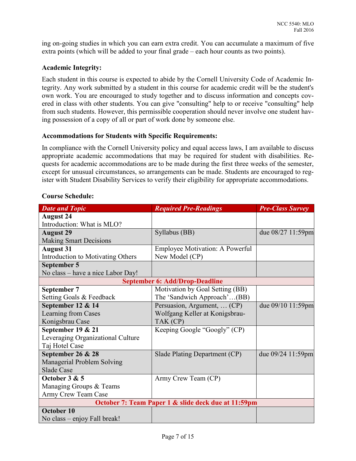ing on-going studies in which you can earn extra credit. You can accumulate a maximum of five extra points (which will be added to your final grade – each hour counts as two points).

## **Academic Integrity:**

Each student in this course is expected to abide by the Cornell University Code of Academic Integrity. Any work submitted by a student in this course for academic credit will be the student's own work. You are encouraged to study together and to discuss information and concepts covered in class with other students. You can give "consulting" help to or receive "consulting" help from such students. However, this permissible cooperation should never involve one student having possession of a copy of all or part of work done by someone else.

## **Accommodations for Students with Specific Requirements:**

In compliance with the Cornell University policy and equal access laws, I am available to discuss appropriate academic accommodations that may be required for student with disabilities. Requests for academic accommodations are to be made during the first three weeks of the semester, except for unusual circumstances, so arrangements can be made. Students are encouraged to register with Student Disability Services to verify their eligibility for appropriate accommodations.

| <b>Date and Topic</b>                 | <b>Required Pre-Readings</b>           | <b>Pre-Class Survey</b> |  |  |  |
|---------------------------------------|----------------------------------------|-------------------------|--|--|--|
| <b>August 24</b>                      |                                        |                         |  |  |  |
| Introduction: What is MLO?            |                                        |                         |  |  |  |
| <b>August 29</b>                      | Syllabus (BB)                          | due $08/27$ 11:59pm     |  |  |  |
| <b>Making Smart Decisions</b>         |                                        |                         |  |  |  |
| <b>August 31</b>                      | <b>Employee Motivation: A Powerful</b> |                         |  |  |  |
| Introduction to Motivating Others     | New Model (CP)                         |                         |  |  |  |
| September 5                           |                                        |                         |  |  |  |
| No class – have a nice Labor Day!     |                                        |                         |  |  |  |
| <b>September 6: Add/Drop-Deadline</b> |                                        |                         |  |  |  |
| September 7                           | Motivation by Goal Setting (BB)        |                         |  |  |  |
| Setting Goals & Feedback              | The 'Sandwich Approach'(BB)            |                         |  |  |  |
| September 12 & 14                     | Persuasion, Argument,  (CP)            | due 09/10 11:59pm       |  |  |  |
| Learning from Cases                   | Wolfgang Keller at Konigsbrau-         |                         |  |  |  |
| Konigsbrau Case                       | TAK (CP)                               |                         |  |  |  |
| September 19 & 21                     | Keeping Google "Googly" (CP)           |                         |  |  |  |
| Leveraging Organizational Culture     |                                        |                         |  |  |  |

## **Course Schedule:**

| Learning from Cases                                 | Wolfgang Keller at Konigsbrau- |                   |  |  |  |
|-----------------------------------------------------|--------------------------------|-------------------|--|--|--|
| Konigsbrau Case                                     | TAK (CP)                       |                   |  |  |  |
| September 19 & 21                                   | Keeping Google "Googly" (CP)   |                   |  |  |  |
| Leveraging Organizational Culture                   |                                |                   |  |  |  |
| Taj Hotel Case                                      |                                |                   |  |  |  |
| September 26 & 28                                   | Slade Plating Department (CP)  | due 09/24 11:59pm |  |  |  |
| Managerial Problem Solving                          |                                |                   |  |  |  |
| Slade Case                                          |                                |                   |  |  |  |
| October 3 & 5                                       | Army Crew Team (CP)            |                   |  |  |  |
| Managing Groups & Teams                             |                                |                   |  |  |  |
| Army Crew Team Case                                 |                                |                   |  |  |  |
| October 7: Team Paper 1 & slide deck due at 11:59pm |                                |                   |  |  |  |
| October 10                                          |                                |                   |  |  |  |
| No class – enjoy Fall break!                        |                                |                   |  |  |  |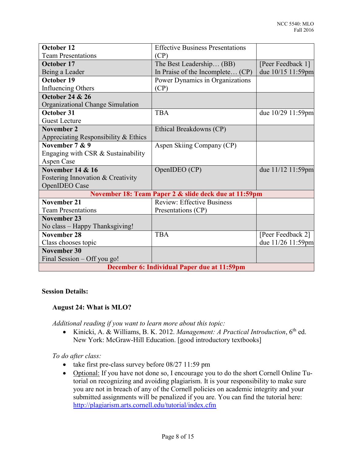| October 12                                  | <b>Effective Business Presentations</b>               |                   |  |  |
|---------------------------------------------|-------------------------------------------------------|-------------------|--|--|
| <b>Team Presentations</b>                   | (CP)                                                  |                   |  |  |
| October 17                                  | The Best Leadership (BB)                              | [Peer Feedback 1] |  |  |
| Being a Leader                              | In Praise of the Incomplete (CP)                      | due 10/15 11:59pm |  |  |
| October 19                                  | Power Dynamics in Organizations                       |                   |  |  |
| Influencing Others                          | (CP)                                                  |                   |  |  |
| <b>October 24 &amp; 26</b>                  |                                                       |                   |  |  |
| Organizational Change Simulation            |                                                       |                   |  |  |
| October 31                                  | <b>TBA</b>                                            | due 10/29 11:59pm |  |  |
| <b>Guest Lecture</b>                        |                                                       |                   |  |  |
| <b>November 2</b>                           | Ethical Breakdowns (CP)                               |                   |  |  |
| Appreciating Responsibility $&$ Ethics      |                                                       |                   |  |  |
| November 7 & 9                              | Aspen Skiing Company (CP)                             |                   |  |  |
| Engaging with CSR & Sustainability          |                                                       |                   |  |  |
| Aspen Case                                  |                                                       |                   |  |  |
| <b>November 14 &amp; 16</b>                 | OpenIDEO (CP)                                         | due 11/12 11:59pm |  |  |
| Fostering Innovation & Creativity           |                                                       |                   |  |  |
| OpenIDEO Case                               |                                                       |                   |  |  |
|                                             | November 18: Team Paper 2 & slide deck due at 11:59pm |                   |  |  |
| <b>November 21</b>                          | <b>Review: Effective Business</b>                     |                   |  |  |
| <b>Team Presentations</b>                   | Presentations (CP)                                    |                   |  |  |
| <b>November 23</b>                          |                                                       |                   |  |  |
| No class - Happy Thanksgiving!              |                                                       |                   |  |  |
| <b>November 28</b>                          | <b>TBA</b>                                            | [Peer Feedback 2] |  |  |
| Class chooses topic                         |                                                       | due 11/26 11:59pm |  |  |
| <b>November 30</b>                          |                                                       |                   |  |  |
| Final Session – Off you go!                 |                                                       |                   |  |  |
| December 6: Individual Paper due at 11:59pm |                                                       |                   |  |  |

## **Session Details:**

## **August 24: What is MLO?**

*Additional reading if you want to learn more about this topic:* 

 Kinicki, A. & Williams, B. K. 2012. *Management: A Practical Introduction*, 6th ed. New York: McGraw-Hill Education. [good introductory textbooks]

## *To do after class:*

- take first pre-class survey before 08/27 11:59 pm
- Optional: If you have not done so, I encourage you to do the short Cornell Online Tutorial on recognizing and avoiding plagiarism. It is your responsibility to make sure you are not in breach of any of the Cornell policies on academic integrity and your submitted assignments will be penalized if you are. You can find the tutorial here: <http://plagiarism.arts.cornell.edu/tutorial/index.cfm>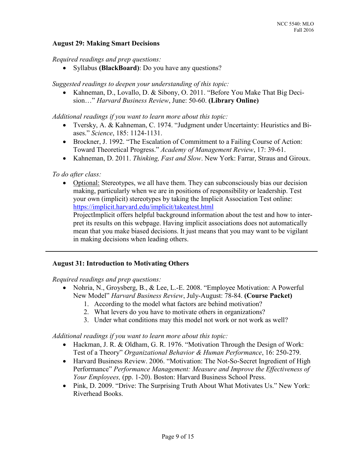## **August 29: Making Smart Decisions**

*Required readings and prep questions:* 

Syllabus **(BlackBoard)**: Do you have any questions?

*Suggested readings to deepen your understanding of this topic:* 

 Kahneman, D., Lovallo, D. & Sibony, O. 2011. "Before You Make That Big Decision…" *Harvard Business Review*, June: 50-60. **(Library Online)**

*Additional readings if you want to learn more about this topic:* 

- Tversky, A. & Kahneman, C. 1974. "Judgment under Uncertainty: Heuristics and Biases." *Science*, 185: 1124-1131.
- Brockner, J. 1992. "The Escalation of Commitment to a Failing Course of Action: Toward Theoretical Progress." *Academy of Management Review*, 17: 39-61.
- Kahneman, D. 2011. *Thinking, Fast and Slow*. New York: Farrar, Straus and Giroux.

*To do after class:* 

• Optional: Stereotypes, we all have them. They can subconsciously bias our decision making, particularly when we are in positions of responsibility or leadership. Test your own (implicit) stereotypes by taking the Implicit Association Test online: <https://implicit.harvard.edu/implicit/takeatest.html>

ProjectImplicit offers helpful background information about the test and how to interpret its results on this webpage. Having implicit associations does not automatically mean that you make biased decisions. It just means that you may want to be vigilant in making decisions when leading others.

#### **August 31: Introduction to Motivating Others**

*Required readings and prep questions:* 

- Nohria, N., Groysberg, B., & Lee, L.-E. 2008. "Employee Motivation: A Powerful New Model" *Harvard Business Review*, July-August: 78-84. **(Course Packet)**
	- 1. According to the model what factors are behind motivation?
	- 2. What levers do you have to motivate others in organizations?
	- 3. Under what conditions may this model not work or not work as well?

*Additional readings if you want to learn more about this topic:* 

- Hackman, J. R. & Oldham, G. R. 1976. "Motivation Through the Design of Work: Test of a Theory" *Organizational Behavior & Human Performance*, 16: 250-279.
- Harvard Business Review. 2006. "Motivation: The Not-So-Secret Ingredient of High Performance" *Performance Management: Measure and Improve the Effectiveness of Your Employees,* (pp. 1-20). Boston: Harvard Business School Press.
- Pink, D. 2009. "Drive: The Surprising Truth About What Motivates Us." New York: Riverhead Books.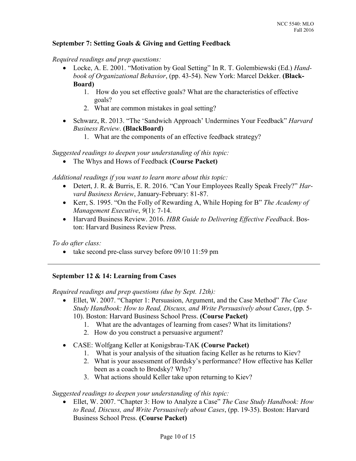## **September 7: Setting Goals & Giving and Getting Feedback**

*Required readings and prep questions:* 

- Locke, A. E. 2001. "Motivation by Goal Setting" In R. T. Golembiewski (Ed.) *Handbook of Organizational Behavior*, (pp. 43-54). New York: Marcel Dekker. **(Black-Board)**
	- 1. How do you set effective goals? What are the characteristics of effective goals?
	- 2. What are common mistakes in goal setting?
- Schwarz, R. 2013. "The 'Sandwich Approach' Undermines Your Feedback" *Harvard Business Review*. **(BlackBoard)**
	- 1. What are the components of an effective feedback strategy?

*Suggested readings to deepen your understanding of this topic:* 

The Whys and Hows of Feedback **(Course Packet)**

*Additional readings if you want to learn more about this topic:* 

- Detert, J. R. & Burris, E. R. 2016. "Can Your Employees Really Speak Freely?" *Harvard Business Review*, January-February: 81-87.
- Kerr, S. 1995. "On the Folly of Rewarding A, While Hoping for B" *The Academy of Management Executive*, *9*(1): 7-14.
- Harvard Business Review. 2016. *HBR Guide to Delivering Effective Feedback*. Boston: Harvard Business Review Press.

*To do after class:* 

• take second pre-class survey before 09/10 11:59 pm

# **September 12 & 14: Learning from Cases**

*Required readings and prep questions (due by Sept. 12th):* 

- Ellet, W. 2007. "Chapter 1: Persuasion, Argument, and the Case Method" *The Case Study Handbook: How to Read, Discuss, and Write Persuasively about Cases*, (pp. 5- 10). Boston: Harvard Business School Press. **(Course Packet)**
	- 1. What are the advantages of learning from cases? What its limitations?
	- 2. How do you construct a persuasive argument?
- CASE: Wolfgang Keller at Konigsbrau-TAK **(Course Packet)**
	- 1. What is your analysis of the situation facing Keller as he returns to Kiev?
	- 2. What is your assessment of Bordsky's performance? How effective has Keller been as a coach to Brodsky? Why?
	- 3. What actions should Keller take upon returning to Kiev?

*Suggested readings to deepen your understanding of this topic:* 

 Ellet, W. 2007. "Chapter 3: How to Analyze a Case" *The Case Study Handbook: How to Read, Discuss, and Write Persuasively about Cases*, (pp. 19-35). Boston: Harvard Business School Press. **(Course Packet)**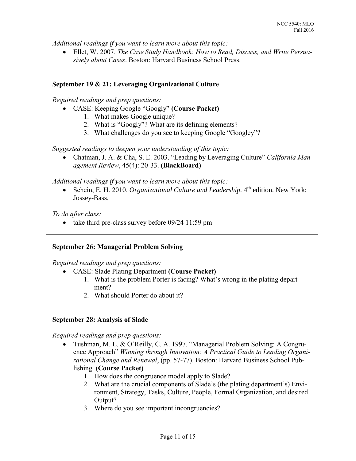*Additional readings if you want to learn more about this topic:* 

 Ellet, W. 2007. *The Case Study Handbook: How to Read, Discuss, and Write Persuasively about Cases*. Boston: Harvard Business School Press.

#### **September 19 & 21: Leveraging Organizational Culture**

*Required readings and prep questions:*

- CASE: Keeping Google "Googly" **(Course Packet)**
	- 1. What makes Google unique?
	- 2. What is "Googly"? What are its defining elements?
	- 3. What challenges do you see to keeping Google "Googley"?

*Suggested readings to deepen your understanding of this topic:* 

 Chatman, J. A. & Cha, S. E. 2003. "Leading by Leveraging Culture" *California Management Review*, 45(4): 20-33. **(BlackBoard)**

*Additional readings if you want to learn more about this topic:* 

• Schein, E. H. 2010. *Organizational Culture and Leadership*. 4<sup>th</sup> edition. New York: Jossey-Bass.

*To do after class:* 

• take third pre-class survey before  $09/24$  11:59 pm

## **September 26: Managerial Problem Solving**

*Required readings and prep questions:* 

- CASE: Slade Plating Department **(Course Packet)**
	- 1. What is the problem Porter is facing? What's wrong in the plating department?
	- 2. What should Porter do about it?

#### **September 28: Analysis of Slade**

*Required readings and prep questions:* 

- Tushman, M. L. & O'Reilly, C. A. 1997. "Managerial Problem Solving: A Congruence Approach" *Winning through Innovation: A Practical Guide to Leading Organizational Change and Renewal*, (pp. 57-77). Boston: Harvard Business School Publishing. **(Course Packet)**
	- 1. How does the congruence model apply to Slade?
	- 2. What are the crucial components of Slade's (the plating department's) Environment, Strategy, Tasks, Culture, People, Formal Organization, and desired Output?
	- 3. Where do you see important incongruencies?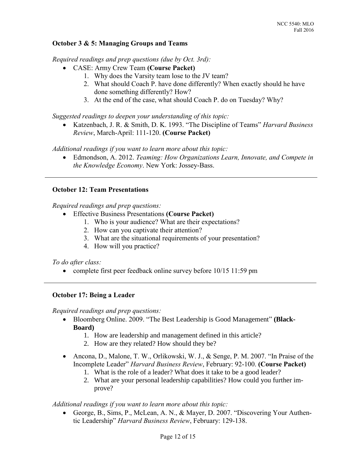## **October 3 & 5: Managing Groups and Teams**

*Required readings and prep questions (due by Oct. 3rd):* 

- CASE: Army Crew Team **(Course Packet)**
	- 1. Why does the Varsity team lose to the JV team?
	- 2. What should Coach P. have done differently? When exactly should he have done something differently? How?
	- 3. At the end of the case, what should Coach P. do on Tuesday? Why?

*Suggested readings to deepen your understanding of this topic:* 

 Katzenbach, J. R. & Smith, D. K. 1993. "The Discipline of Teams" *Harvard Business Review*, March-April: 111-120. **(Course Packet)**

*Additional readings if you want to learn more about this topic:* 

 Edmondson, A. 2012. *Teaming: How Organizations Learn, Innovate, and Compete in the Knowledge Economy*. New York: Jossey-Bass.

## **October 12: Team Presentations**

*Required readings and prep questions:* 

- Effective Business Presentations **(Course Packet)**
	- 1. Who is your audience? What are their expectations?
	- 2. How can you captivate their attention?
	- 3. What are the situational requirements of your presentation?
	- 4. How will you practice?

*To do after class:* 

• complete first peer feedback online survey before 10/15 11:59 pm

#### **October 17: Being a Leader**

*Required readings and prep questions:* 

- Bloomberg Online. 2009. "The Best Leadership is Good Management" **(Black-Board)**
	- 1. How are leadership and management defined in this article?
	- 2. How are they related? How should they be?
- Ancona, D., Malone, T. W., Orlikowski, W. J., & Senge, P. M. 2007. "In Praise of the Incomplete Leader" *Harvard Business Review*, February: 92-100. **(Course Packet)**
	- 1. What is the role of a leader? What does it take to be a good leader?
	- 2. What are your personal leadership capabilities? How could you further improve?

*Additional readings if you want to learn more about this topic:* 

 George, B., Sims, P., McLean, A. N., & Mayer, D. 2007. "Discovering Your Authentic Leadership" *Harvard Business Review*, February: 129-138.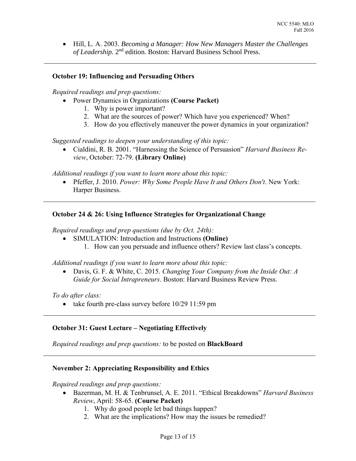Hill, L. A. 2003. *Becoming a Manager: How New Managers Master the Challenges*  of Leadership. 2<sup>nd</sup> edition. Boston: Harvard Business School Press.

## **October 19: Influencing and Persuading Others**

*Required readings and prep questions:* 

- Power Dynamics in Organizations **(Course Packet)**
	- 1. Why is power important?
	- 2. What are the sources of power? Which have you experienced? When?
	- 3. How do you effectively maneuver the power dynamics in your organization?

*Suggested readings to deepen your understanding of this topic:* 

 Cialdini, R. B. 2001. "Harnessing the Science of Persuasion" *Harvard Business Review*, October: 72-79. **(Library Online)**

*Additional readings if you want to learn more about this topic:* 

 Pfeffer, J. 2010. *Power: Why Some People Have It and Others Don't*. New York: Harper Business.

## **October 24 & 26: Using Influence Strategies for Organizational Change**

*Required readings and prep questions (due by Oct. 24th):* 

 SIMULATION: Introduction and Instructions **(Online)** 1. How can you persuade and influence others? Review last class's concepts.

*Additional readings if you want to learn more about this topic:* 

 Davis, G. F. & White, C. 2015. *Changing Your Company from the Inside Out: A Guide for Social Intrapreneurs*. Boston: Harvard Business Review Press.

*To do after class:* 

• take fourth pre-class survey before  $10/29$  11:59 pm

## **October 31: Guest Lecture – Negotiating Effectively**

*Required readings and prep questions:* to be posted on **BlackBoard**

## **November 2: Appreciating Responsibility and Ethics**

*Required readings and prep questions:* 

- Bazerman, M. H. & Tenbrunsel, A. E. 2011. "Ethical Breakdowns" *Harvard Business Review*, April: 58-65. **(Course Packet)**
	- 1. Why do good people let bad things happen?
	- 2. What are the implications? How may the issues be remedied?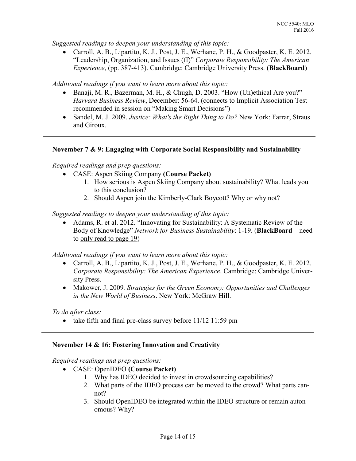*Suggested readings to deepen your understanding of this topic:* 

 Carroll, A. B., Lipartito, K. J., Post, J. E., Werhane, P. H., & Goodpaster, K. E. 2012. "Leadership, Organization, and Issues (ff)" *Corporate Responsibility: The American Experience*, (pp. 387-413). Cambridge: Cambridge University Press. **(BlackBoard)**

*Additional readings if you want to learn more about this topic:* 

- Banaji, M. R., Bazerman, M. H., & Chugh, D. 2003. "How (Un)ethical Are you?" *Harvard Business Review*, December: 56-64. (connects to Implicit Association Test recommended in session on "Making Smart Decisions")
- Sandel, M. J. 2009. *Justice: What's the Right Thing to Do?* New York: Farrar, Straus and Giroux.

## **November 7 & 9: Engaging with Corporate Social Responsibility and Sustainability**

*Required readings and prep questions:* 

- CASE: Aspen Skiing Company **(Course Packet)**
	- 1. How serious is Aspen Skiing Company about sustainability? What leads you to this conclusion?
	- 2. Should Aspen join the Kimberly-Clark Boycott? Why or why not?

*Suggested readings to deepen your understanding of this topic:*

 Adams, R. et al. 2012. "Innovating for Sustainability: A Systematic Review of the Body of Knowledge" *Network for Business Sustainability*: 1-19. (**BlackBoard** – need to only read to page 19)

*Additional readings if you want to learn more about this topic:* 

- Carroll, A. B., Lipartito, K. J., Post, J. E., Werhane, P. H., & Goodpaster, K. E. 2012. *Corporate Responsibility: The American Experience*. Cambridge: Cambridge University Press.
- Makower, J. 2009*. Strategies for the Green Economy: Opportunities and Challenges in the New World of Business*. New York: McGraw Hill.

*To do after class:* 

• take fifth and final pre-class survey before  $11/12$  11:59 pm

## **November 14 & 16: Fostering Innovation and Creativity**

*Required readings and prep questions:* 

- CASE: OpenIDEO **(Course Packet)** 
	- 1. Why has IDEO decided to invest in crowdsourcing capabilities?
	- 2. What parts of the IDEO process can be moved to the crowd? What parts cannot?
	- 3. Should OpenIDEO be integrated within the IDEO structure or remain autonomous? Why?